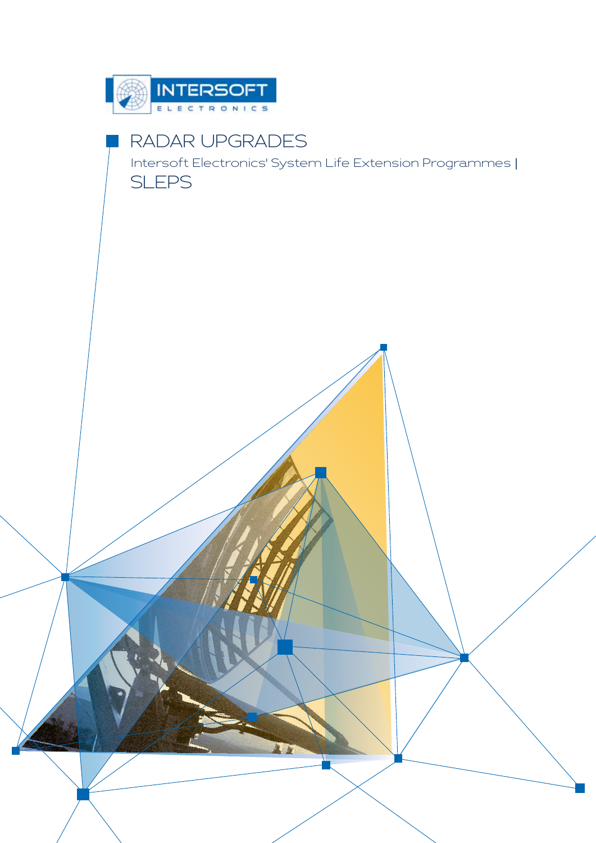

# RADAR UPGRADES

Intersoft Electronics' System Life Extension Programmes | SLEPS

 $\mathbf{w}$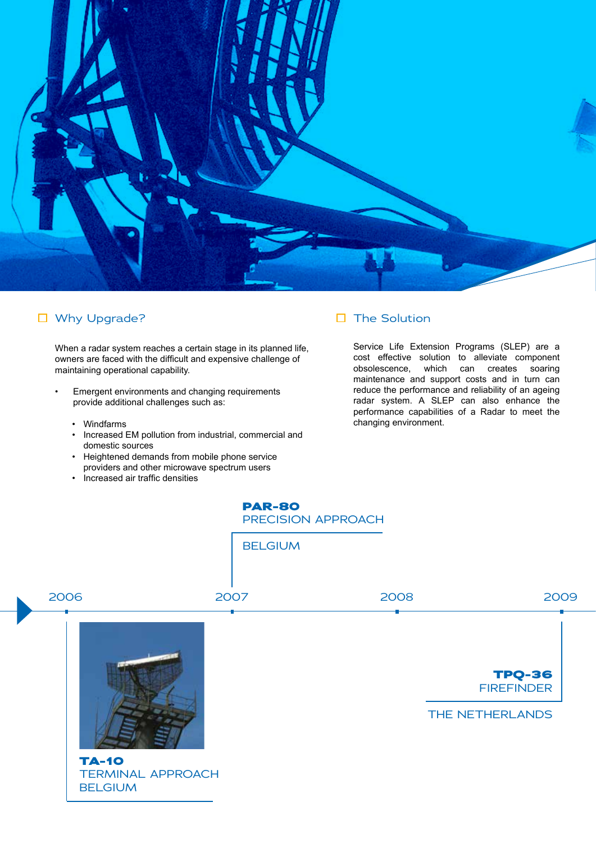

# □ Why Upgrade? The Solution

When a radar system reaches a certain stage in its planned life, owners are faced with the difficult and expensive challenge of maintaining operational capability.

- Emergent environments and changing requirements provide additional challenges such as:
	- Windfarms
	- Increased EM pollution from industrial, commercial and domestic sources
	- Heightened demands from mobile phone service providers and other microwave spectrum users
	- Increased air traffic densities

Service Life Extension Programs (SLEP) are a cost effective solution to alleviate component obsolescence, which can creates soaring maintenance and support costs and in turn can reduce the performance and reliability of an ageing radar system. A SLEP can also enhance the performance capabilities of a Radar to meet the changing environment.



BELGIUM



TERMINAL APPROACH **BELGIUM**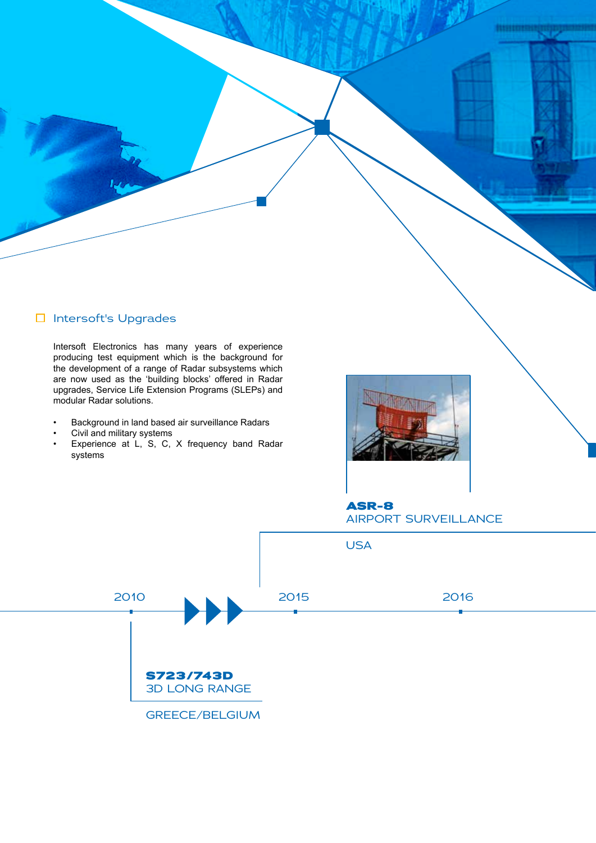# □ Intersoft's Upgrades

Intersoft Electronics has many years of experience producing test equipment which is the background for the development of a range of Radar subsystems which are now used as the 'building blocks' offered in Radar upgrades, Service Life Extension Programs (SLEPs) and modular Radar solutions.

- Background in land based air surveillance Radars
- Civil and military systems
- Experience at L, S, C, X frequency band Radar systems



**ASR-8** AIRPORT SURVEILLANCE

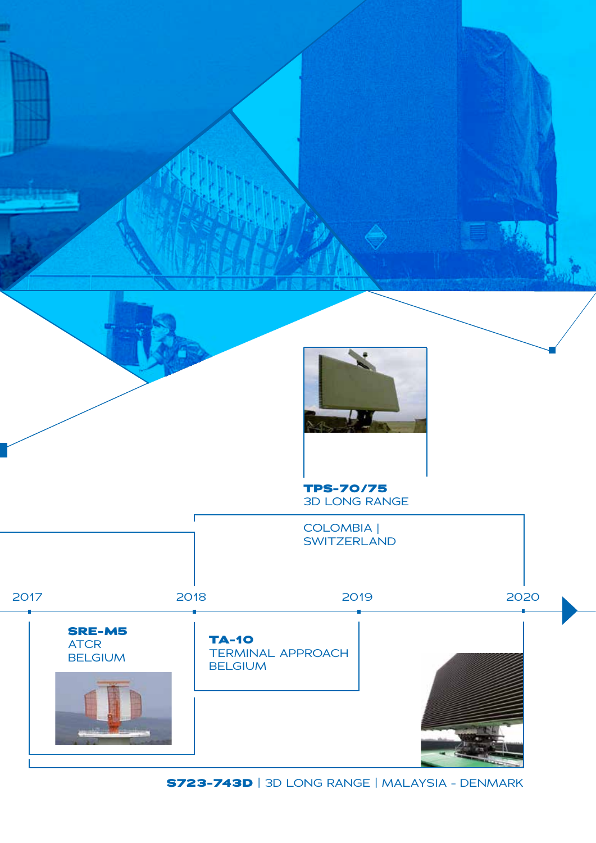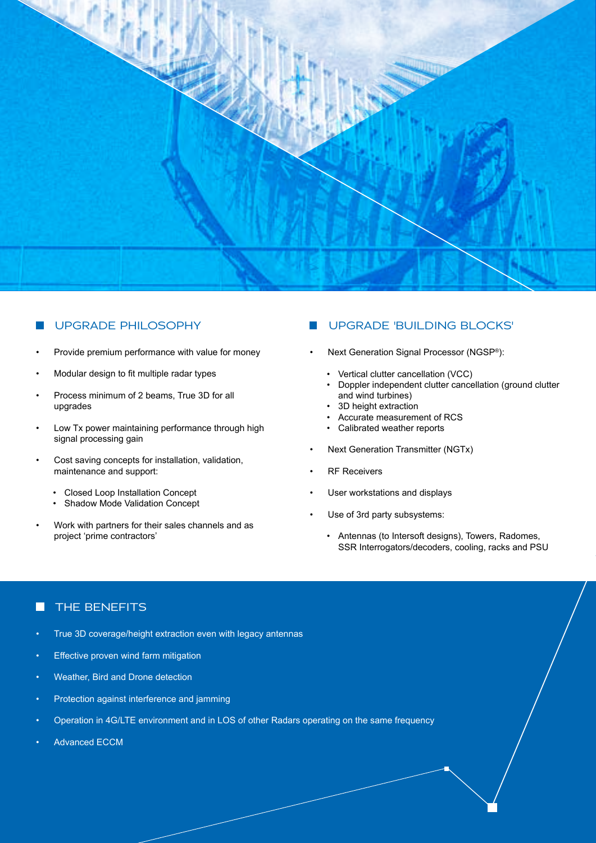

### UPGRADE PHILOSOPHY

- Provide premium performance with value for money
- Modular design to fit multiple radar types
- Process minimum of 2 beams, True 3D for all upgrades
- Low Tx power maintaining performance through high signal processing gain
- Cost saving concepts for installation, validation, maintenance and support:
	- Closed Loop Installation Concept
	- Shadow Mode Validation Concept
- Work with partners for their sales channels and as project 'prime contractors'

# UPGRADE 'BUILDING BLOCKS'

- Next Generation Signal Processor (NGSP®):
	- Vertical clutter cancellation (VCC)
	- Doppler independent clutter cancellation (ground clutter and wind turbines)
	- 3D height extraction
	- Accurate measurement of RCS
	- Calibrated weather reports
- Next Generation Transmitter (NGTx)
- **RF Receivers**
- User workstations and displays
- Use of 3rd party subsystems:
	- Antennas (to Intersoft designs), Towers, Radomes, SSR Interrogators/decoders, cooling, racks and PSU

# THE BENEFITS

- True 3D coverage/height extraction even with legacy antennas
- Effective proven wind farm mitigation
- Weather, Bird and Drone detection
- Protection against interference and jamming
- Operation in 4G/LTE environment and in LOS of other Radars operating on the same frequency
- Advanced ECCM